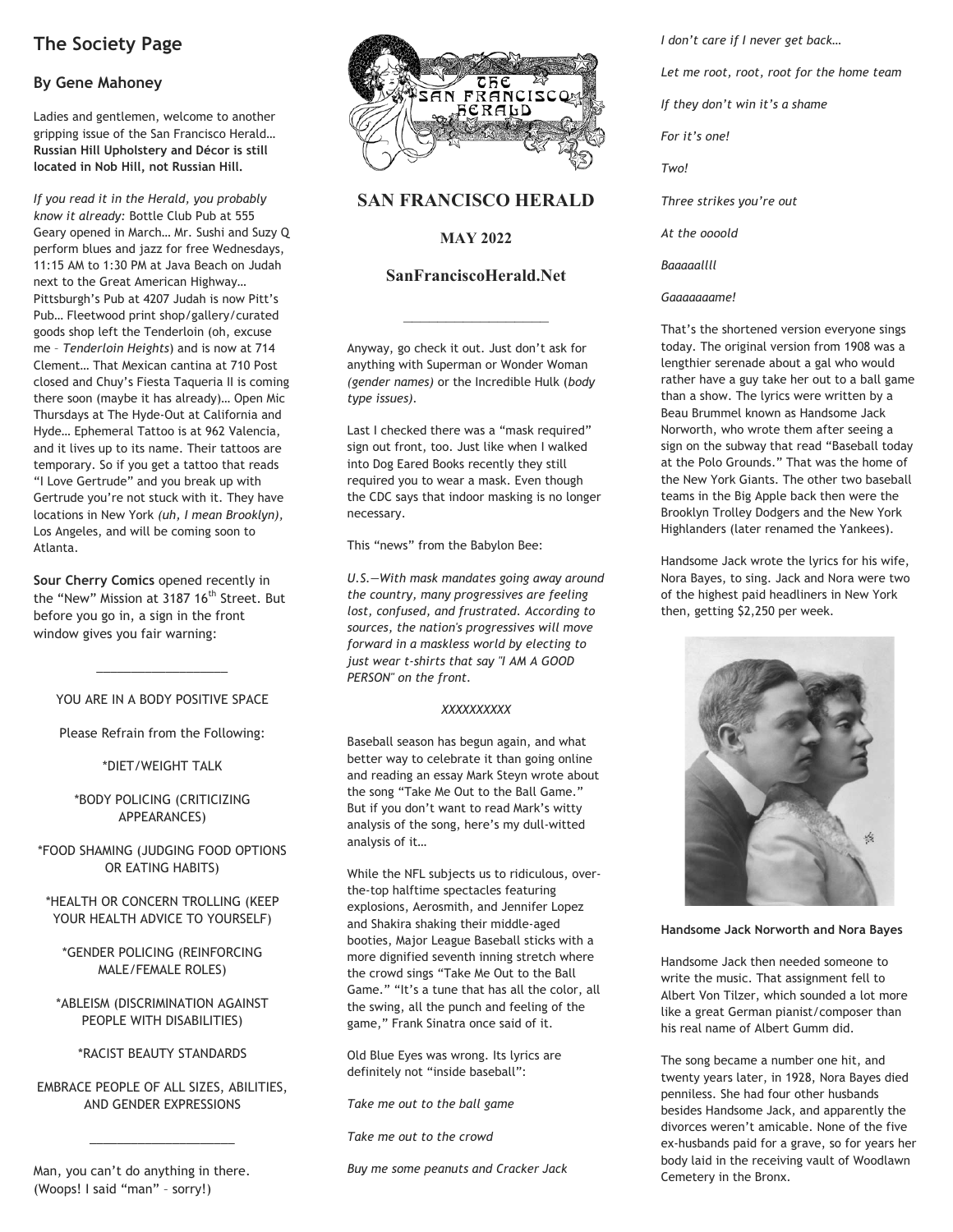## **The Society Page**

## **By Gene Mahoney**

Ladies and gentlemen, welcome to another gripping issue of the San Francisco Herald… **Russian Hill Upholstery and Décor is still located in Nob Hill, not Russian Hill.**

*If you read it in the Herald, you probably know it already:* Bottle Club Pub at 555 Geary opened in March… Mr. Sushi and Suzy Q perform blues and jazz for free Wednesdays, 11:15 AM to 1:30 PM at Java Beach on Judah next to the Great American Highway… Pittsburgh's Pub at 4207 Judah is now Pitt's Pub… Fleetwood print shop/gallery/curated goods shop left the Tenderloin (oh, excuse me – *Tenderloin Heights*) and is now at 714 Clement… That Mexican cantina at 710 Post closed and Chuy's Fiesta Taqueria II is coming there soon (maybe it has already)… Open Mic Thursdays at The Hyde-Out at California and Hyde… Ephemeral Tattoo is at 962 Valencia, and it lives up to its name. Their tattoos are temporary. So if you get a tattoo that reads "I Love Gertrude" and you break up with Gertrude you're not stuck with it. They have locations in New York *(uh, I mean Brooklyn),* Los Angeles, and will be coming soon to Atlanta.

**Sour Cherry Comics** opened recently in the "New" Mission at 3187 16<sup>th</sup> Street. But before you go in, a sign in the front window gives you fair warning:

### YOU ARE IN A BODY POSITIVE SPACE

 $\overline{\phantom{a}}$  , where  $\overline{\phantom{a}}$  , where  $\overline{\phantom{a}}$ 

Please Refrain from the Following:

\*DIET/WEIGHT TALK

#### \*BODY POLICING (CRITICIZING APPEARANCES)

\*FOOD SHAMING (JUDGING FOOD OPTIONS OR EATING HABITS)

\*HEALTH OR CONCERN TROLLING (KEEP YOUR HEALTH ADVICE TO YOURSELF)

\*GENDER POLICING (REINFORCING MALE/FEMALE ROLES)

\*ABLEISM (DISCRIMINATION AGAINST PEOPLE WITH DISABILITIES)

\*RACIST BEAUTY STANDARDS

EMBRACE PEOPLE OF ALL SIZES, ABILITIES, AND GENDER EXPRESSIONS

 $\overline{\phantom{a}}$  , where  $\overline{\phantom{a}}$  , where  $\overline{\phantom{a}}$  , where  $\overline{\phantom{a}}$ 

Man, you can't do anything in there. (Woops! I said "man" – sorry!)



## **SAN FRANCISCO HERALD**

### **MAY 2022**

### **SanFranciscoHerald.Net**

Anyway, go check it out. Just don't ask for anything with Superman or Wonder Woman *(gender names)* or the Incredible Hulk (*body type issues).* 

Last I checked there was a "mask required" sign out front, too. Just like when I walked into Dog Eared Books recently they still required you to wear a mask. Even though the CDC says that indoor masking is no longer necessary.

This "news" from the Babylon Bee:

*U.S.—With mask mandates going away around the country, many progressives are feeling lost, confused, and frustrated. According to sources, the nation's progressives will move forward in a maskless world by electing to just wear t-shirts that say "I AM A GOOD PERSON" on the front.* 

#### *XXXXXXXXXX*

Baseball season has begun again, and what better way to celebrate it than going online and reading an essay Mark Steyn wrote about the song "Take Me Out to the Ball Game." But if you don't want to read Mark's witty analysis of the song, here's my dull-witted analysis of it…

While the NFL subjects us to ridiculous, overthe-top halftime spectacles featuring explosions, Aerosmith, and Jennifer Lopez and Shakira shaking their middle-aged booties, Major League Baseball sticks with a more dignified seventh inning stretch where the crowd sings "Take Me Out to the Ball Game." "It's a tune that has all the color, all the swing, all the punch and feeling of the game," Frank Sinatra once said of it.

Old Blue Eyes was wrong. Its lyrics are definitely not "inside baseball":

*Take me out to the ball game* 

*Take me out to the crowd* 

*Buy me some peanuts and Cracker Jack* 

*I don't care if I never get back…* 

*Let me root, root, root for the home team* 

- *If they don't win it's a shame*
- *For it's one!*

*Two!* 

*Three strikes you're out* 

*At the oooold* 

*Baaaaallll* 

*Gaaaaaaame!* 

That's the shortened version everyone sings today. The original version from 1908 was a lengthier serenade about a gal who would rather have a guy take her out to a ball game than a show. The lyrics were written by a Beau Brummel known as Handsome Jack Norworth, who wrote them after seeing a sign on the subway that read "Baseball today at the Polo Grounds." That was the home of the New York Giants. The other two baseball teams in the Big Apple back then were the Brooklyn Trolley Dodgers and the New York Highlanders (later renamed the Yankees).

Handsome Jack wrote the lyrics for his wife, Nora Bayes, to sing. Jack and Nora were two of the highest paid headliners in New York then, getting \$2,250 per week.



#### **Handsome Jack Norworth and Nora Bayes**

Handsome Jack then needed someone to write the music. That assignment fell to Albert Von Tilzer, which sounded a lot more like a great German pianist/composer than his real name of Albert Gumm did.

The song became a number one hit, and twenty years later, in 1928, Nora Bayes died penniless. She had four other husbands besides Handsome Jack, and apparently the divorces weren't amicable. None of the five ex-husbands paid for a grave, so for years her body laid in the receiving vault of Woodlawn Cemetery in the Bronx.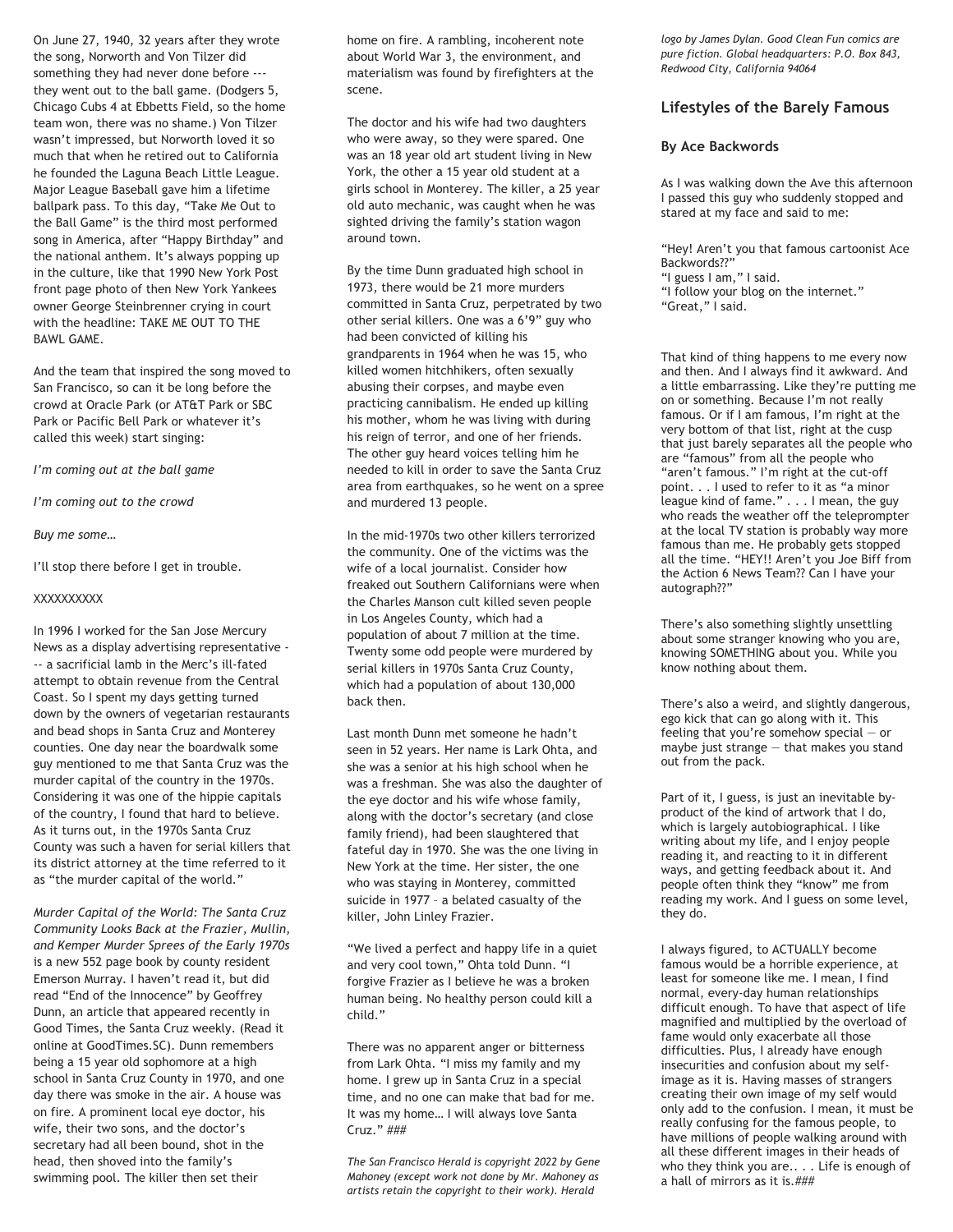On June 27, 1940, 32 years after they wrote the song, Norworth and Von Tilzer did something they had never done before -- they went out to the ball game. (Dodgers 5, Chicago Cubs 4 at Ebbetts Field, so the home team won, there was no shame.) Von Tilzer wasn't impressed, but Norworth loved it so much that when he retired out to California he founded the Laguna Beach Little League. Major League Baseball gave him a lifetime ballpark pass. To this day, "Take Me Out to the Ball Game" is the third most performed song in America, after "Happy Birthday" and the national anthem. It's always popping up in the culture, like that 1990 New York Post front page photo of then New York Yankees owner George Steinbrenner crying in court with the headline: TAKE ME OUT TO THE BAWL GAME.

And the team that inspired the song moved to San Francisco, so can it be long before the crowd at Oracle Park (or AT&T Park or SBC Park or Pacific Bell Park or whatever it's called this week) start singing:

*I'm coming out at the ball game* 

*I'm coming out to the crowd* 

#### *Buy me some…*

I'll stop there before I get in trouble.

#### **XXXXXXXXX**

In 1996 I worked for the San Jose Mercury News as a display advertising representative - -- a sacrificial lamb in the Merc's ill-fated attempt to obtain revenue from the Central Coast. So I spent my days getting turned down by the owners of vegetarian restaurants and bead shops in Santa Cruz and Monterey counties. One day near the boardwalk some guy mentioned to me that Santa Cruz was the murder capital of the country in the 1970s. Considering it was one of the hippie capitals of the country, I found that hard to believe. As it turns out, in the 1970s Santa Cruz County was such a haven for serial killers that its district attorney at the time referred to it as "the murder capital of the world."

*Murder Capital of the World: The Santa Cruz Community Looks Back at the Frazier, Mullin, and Kemper Murder Sprees of the Early 1970s* is a new 552 page book by county resident Emerson Murray. I haven't read it, but did read "End of the Innocence" by Geoffrey Dunn, an article that appeared recently in Good Times, the Santa Cruz weekly. (Read it online at GoodTimes.SC). Dunn remembers being a 15 year old sophomore at a high school in Santa Cruz County in 1970, and one day there was smoke in the air. A house was on fire. A prominent local eye doctor, his wife, their two sons, and the doctor's secretary had all been bound, shot in the head, then shoved into the family's swimming pool. The killer then set their

home on fire. A rambling, incoherent note about World War 3, the environment, and materialism was found by firefighters at the scene.

The doctor and his wife had two daughters who were away, so they were spared. One was an 18 year old art student living in New York, the other a 15 year old student at a girls school in Monterey. The killer, a 25 year old auto mechanic, was caught when he was sighted driving the family's station wagon around town.

By the time Dunn graduated high school in 1973, there would be 21 more murders committed in Santa Cruz, perpetrated by two other serial killers. One was a 6'9" guy who had been convicted of killing his grandparents in 1964 when he was 15, who killed women hitchhikers, often sexually abusing their corpses, and maybe even practicing cannibalism. He ended up killing his mother, whom he was living with during his reign of terror, and one of her friends. The other guy heard voices telling him he needed to kill in order to save the Santa Cruz area from earthquakes, so he went on a spree and murdered 13 people.

In the mid-1970s two other killers terrorized the community. One of the victims was the wife of a local journalist. Consider how freaked out Southern Californians were when the Charles Manson cult killed seven people in Los Angeles County, which had a population of about 7 million at the time. Twenty some odd people were murdered by serial killers in 1970s Santa Cruz County, which had a population of about 130,000 back then.

Last month Dunn met someone he hadn't seen in 52 years. Her name is Lark Ohta, and she was a senior at his high school when he was a freshman. She was also the daughter of the eye doctor and his wife whose family, along with the doctor's secretary (and close family friend), had been slaughtered that fateful day in 1970. She was the one living in New York at the time. Her sister, the one who was staying in Monterey, committed suicide in 1977 – a belated casualty of the killer, John Linley Frazier.

"We lived a perfect and happy life in a quiet and very cool town," Ohta told Dunn. "I forgive Frazier as I believe he was a broken human being. No healthy person could kill a child."

There was no apparent anger or bitterness from Lark Ohta. "I miss my family and my home. I grew up in Santa Cruz in a special time, and no one can make that bad for me. It was my home… I will always love Santa Cruz." ###

*The San Francisco Herald is copyright 2022 by Gene Mahoney (except work not done by Mr. Mahoney as artists retain the copyright to their work). Herald* 

*logo by James Dylan. Good Clean Fun comics are pure fiction. Global headquarters: P.O. Box 843, Redwood City, California 94064* 

### **Lifestyles of the Barely Famous**

#### **By Ace Backwords**

As I was walking down the Ave this afternoon I passed this guy who suddenly stopped and stared at my face and said to me:

"Hey! Aren't you that famous cartoonist Ace Backwords??" "I guess I am," I said. "I follow your blog on the internet." "Great," I said.

That kind of thing happens to me every now and then. And I always find it awkward. And a little embarrassing. Like they're putting me on or something. Because I'm not really famous. Or if I am famous, I'm right at the very bottom of that list, right at the cusp that just barely separates all the people who are "famous" from all the people who "aren't famous." I'm right at the cut-off point. . . I used to refer to it as "a minor league kind of fame." . . . I mean, the guy who reads the weather off the teleprompter at the local TV station is probably way more famous than me. He probably gets stopped all the time. "HEY!! Aren't you Joe Biff from the Action 6 News Team?? Can I have your autograph??"

There's also something slightly unsettling about some stranger knowing who you are, knowing SOMETHING about you. While you know nothing about them.

There's also a weird, and slightly dangerous, ego kick that can go along with it. This feeling that you're somehow special — or maybe just strange — that makes you stand out from the pack.

Part of it, I guess, is just an inevitable byproduct of the kind of artwork that I do, which is largely autobiographical. I like writing about my life, and I enjoy people reading it, and reacting to it in different ways, and getting feedback about it. And people often think they "know" me from reading my work. And I guess on some level, they do.

I always figured, to ACTUALLY become famous would be a horrible experience, at least for someone like me. I mean, I find normal, every-day human relationships difficult enough. To have that aspect of life magnified and multiplied by the overload of fame would only exacerbate all those difficulties. Plus, I already have enough insecurities and confusion about my selfimage as it is. Having masses of strangers creating their own image of my self would only add to the confusion. I mean, it must be really confusing for the famous people, to have millions of people walking around with all these different images in their heads of who they think you are.. . . Life is enough of a hall of mirrors as it is.###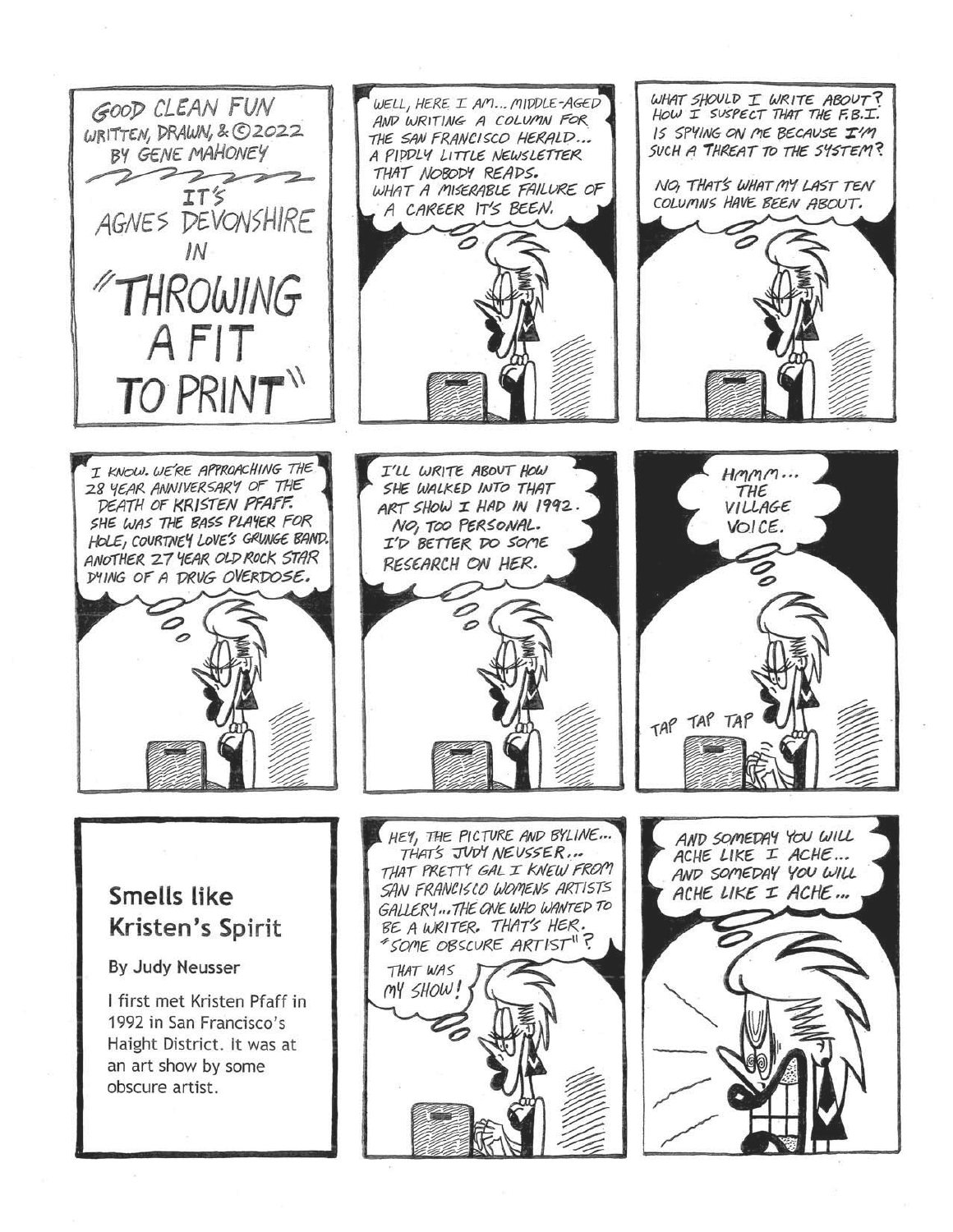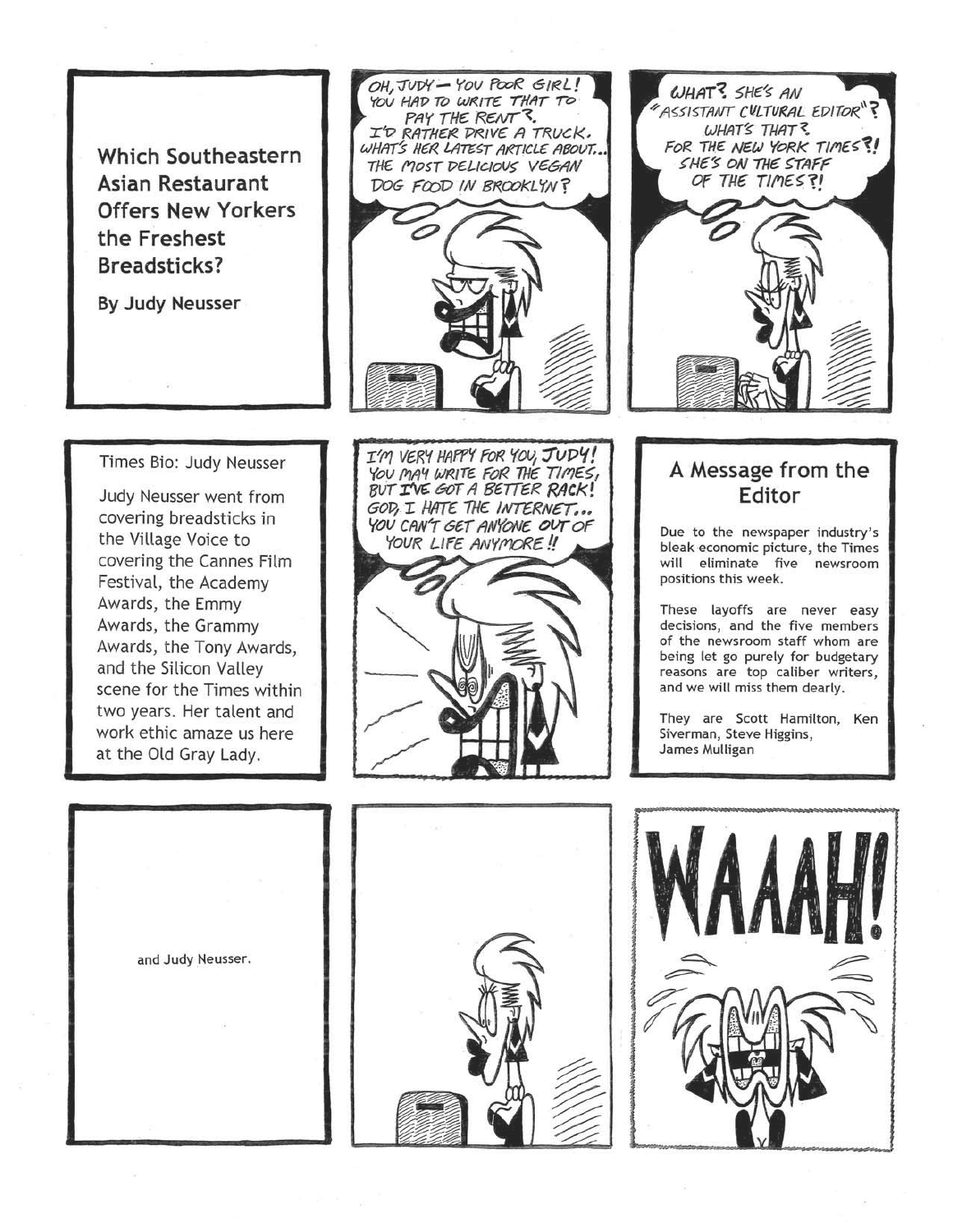Which Southeastern **Asian Restaurant Offers New Yorkers** the Freshest Breadsticks?

**By Judy Neusser** 

YOU HAD TO WRITE THAT TO PAY THE RENT ?. I'D RATHER DRIVE A TRUCK. WHAT'S HER LATEST ARTICLE ABOUT. THE MOST DELICIOUS VEGAN DOG FOOD IN BROOKLYN?

OH. JUDY - YOU POOR GIRL!





## Times Bio: Judy Neusser

Judy Neusser went from covering breadsticks in the Village Voice to covering the Cannes Film Festival, the Academy Awards, the Emmy Awards, the Grammy Awards, the Tony Awards, and the Silicon Valley scene for the Times within two years. Her talent and work ethic amaze us here at the Old Gray Lady.

I'M VERY HAPPY FOR YOU, JUDY! YOU MAY WRITE FOR THE TIMES, BUT I'VE GOT A BETTER RACK! GOD, I HATE THE INTERNET... YOU CAN'T GET ANYONE OUT OF YOUR LIFE ANYMORE!



## A Message from the Editor

Due to the newspaper industry's bleak economic picture, the Times will eliminate five newsroom positions this week.

These layoffs are never easy decisions, and the five members of the newsroom staff whom are being let go purely for budgetary reasons are top caliber writers, and we will miss them dearly.

They are Scott Hamilton, Ken Siverman, Steve Higgins, James Mulligan